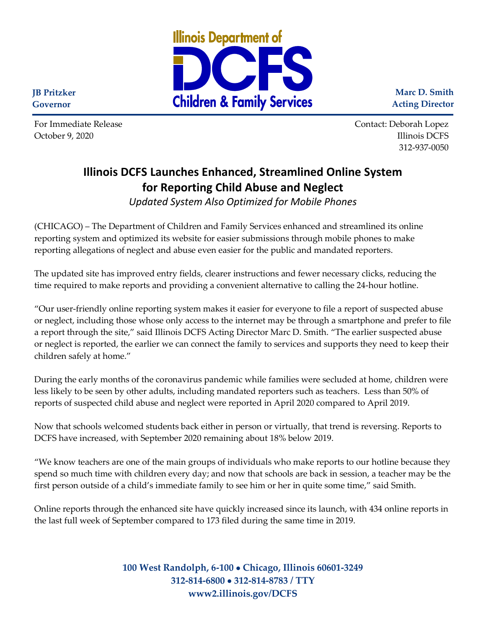

**Marc D. Smith Acting Director**

**JB Pritzker Governor**

For Immediate Release **Contact: Deborah Lopez** October 9, 2020 Illinois DCFS 312-937-0050

## **Illinois DCFS Launches Enhanced, Streamlined Online System for Reporting Child Abuse and Neglect**

*Updated System Also Optimized for Mobile Phones*

(CHICAGO) – The Department of Children and Family Services enhanced and streamlined its online reporting system and optimized its website for easier submissions through mobile phones to make reporting allegations of neglect and abuse even easier for the public and mandated reporters.

The updated site has improved entry fields, clearer instructions and fewer necessary clicks, reducing the time required to make reports and providing a convenient alternative to calling the 24-hour hotline.

"Our user-friendly online reporting system makes it easier for everyone to file a report of suspected abuse or neglect, including those whose only access to the internet may be through a smartphone and prefer to file a report through the site," said Illinois DCFS Acting Director Marc D. Smith. "The earlier suspected abuse or neglect is reported, the earlier we can connect the family to services and supports they need to keep their children safely at home."

During the early months of the coronavirus pandemic while families were secluded at home, children were less likely to be seen by other adults, including mandated reporters such as teachers. Less than 50% of reports of suspected child abuse and neglect were reported in April 2020 compared to April 2019.

Now that schools welcomed students back either in person or virtually, that trend is reversing. Reports to DCFS have increased, with September 2020 remaining about 18% below 2019.

"We know teachers are one of the main groups of individuals who make reports to our hotline because they spend so much time with children every day; and now that schools are back in session, a teacher may be the first person outside of a child's immediate family to see him or her in quite some time," said Smith.

Online reports through the enhanced site have quickly increased since its launch, with 434 online reports in the last full week of September compared to 173 filed during the same time in 2019.

> **100 West Randolph, 6-100** • **Chicago, Illinois 60601-3249 312-814-6800** • **312-814-8783 / TTY www2.illinois.gov/DCFS**